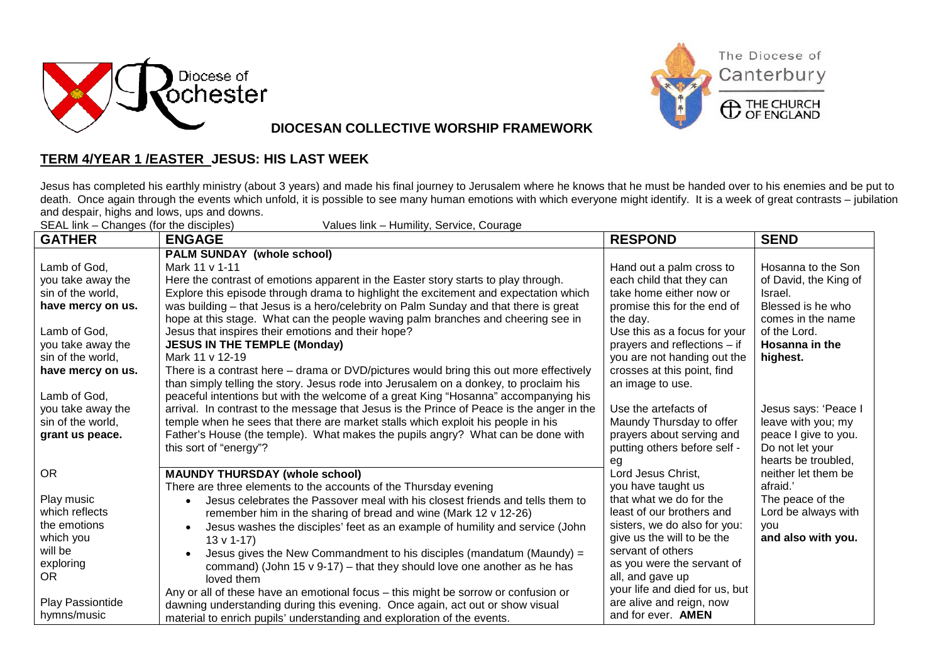



**DIOCESAN COLLECTIVE WORSHIP FRAMEWORK**

## **TERM 4/YEAR 1 /EASTER JESUS: HIS LAST WEEK**

Jesus has completed his earthly ministry (about 3 years) and made his final journey to Jerusalem where he knows that he must be handed over to his enemies and be put to death. Once again through the events which unfold, it is possible to see many human emotions with which everyone might identify. It is a week of great contrasts – jubilation and despair, highs and lows, ups and downs.

| SEAL link – Changes (for the disciples)<br>Values link – Humility, Service, Courage |                                                                                            |                                |                       |  |
|-------------------------------------------------------------------------------------|--------------------------------------------------------------------------------------------|--------------------------------|-----------------------|--|
| <b>GATHER</b>                                                                       | <b>ENGAGE</b>                                                                              | <b>RESPOND</b>                 | <b>SEND</b>           |  |
|                                                                                     | <b>PALM SUNDAY (whole school)</b>                                                          |                                |                       |  |
| Lamb of God,                                                                        | Mark 11 v 1-11                                                                             | Hand out a palm cross to       | Hosanna to the Son    |  |
| you take away the                                                                   | Here the contrast of emotions apparent in the Easter story starts to play through.         | each child that they can       | of David, the King of |  |
| sin of the world,                                                                   | Explore this episode through drama to highlight the excitement and expectation which       | take home either now or        | Israel.               |  |
| have mercy on us.                                                                   | was building – that Jesus is a hero/celebrity on Palm Sunday and that there is great       | promise this for the end of    | Blessed is he who     |  |
|                                                                                     | hope at this stage. What can the people waving palm branches and cheering see in           | the day.                       | comes in the name     |  |
| Lamb of God,                                                                        | Jesus that inspires their emotions and their hope?                                         | Use this as a focus for your   | of the Lord.          |  |
| you take away the                                                                   | <b>JESUS IN THE TEMPLE (Monday)</b>                                                        | prayers and reflections - if   | Hosanna in the        |  |
| sin of the world,                                                                   | Mark 11 v 12-19                                                                            | you are not handing out the    | highest.              |  |
| have mercy on us.                                                                   | There is a contrast here - drama or DVD/pictures would bring this out more effectively     | crosses at this point, find    |                       |  |
|                                                                                     | than simply telling the story. Jesus rode into Jerusalem on a donkey, to proclaim his      | an image to use.               |                       |  |
| Lamb of God,                                                                        | peaceful intentions but with the welcome of a great King "Hosanna" accompanying his        |                                |                       |  |
| you take away the                                                                   | arrival. In contrast to the message that Jesus is the Prince of Peace is the anger in the  | Use the artefacts of           | Jesus says: 'Peace I  |  |
| sin of the world,                                                                   | temple when he sees that there are market stalls which exploit his people in his           | Maundy Thursday to offer       | leave with you; my    |  |
| grant us peace.                                                                     | Father's House (the temple). What makes the pupils angry? What can be done with            | prayers about serving and      | peace I give to you.  |  |
|                                                                                     | this sort of "energy"?                                                                     | putting others before self -   | Do not let your       |  |
|                                                                                     |                                                                                            | eg                             | hearts be troubled,   |  |
| <b>OR</b>                                                                           | <b>MAUNDY THURSDAY (whole school)</b>                                                      | Lord Jesus Christ,             | neither let them be   |  |
|                                                                                     | There are three elements to the accounts of the Thursday evening                           | you have taught us             | afraid.'              |  |
| Play music                                                                          | Jesus celebrates the Passover meal with his closest friends and tells them to<br>$\bullet$ | that what we do for the        | The peace of the      |  |
| which reflects                                                                      | remember him in the sharing of bread and wine (Mark 12 v 12-26)                            | least of our brothers and      | Lord be always with   |  |
| the emotions                                                                        | Jesus washes the disciples' feet as an example of humility and service (John               | sisters, we do also for you:   | vou                   |  |
| which you                                                                           | $13 \vee 1 - 17$                                                                           | give us the will to be the     | and also with you.    |  |
| will be                                                                             | Jesus gives the New Commandment to his disciples (mandatum (Maundy) =<br>$\bullet$         | servant of others              |                       |  |
| exploring                                                                           | command) (John 15 $v$ 9-17) – that they should love one another as he has                  | as you were the servant of     |                       |  |
| OR.                                                                                 | loved them                                                                                 | all, and gave up               |                       |  |
|                                                                                     | Any or all of these have an emotional focus - this might be sorrow or confusion or         | your life and died for us, but |                       |  |
| Play Passiontide                                                                    | dawning understanding during this evening. Once again, act out or show visual              | are alive and reign, now       |                       |  |
| hymns/music                                                                         | material to enrich pupils' understanding and exploration of the events.                    | and for ever. <b>AMEN</b>      |                       |  |